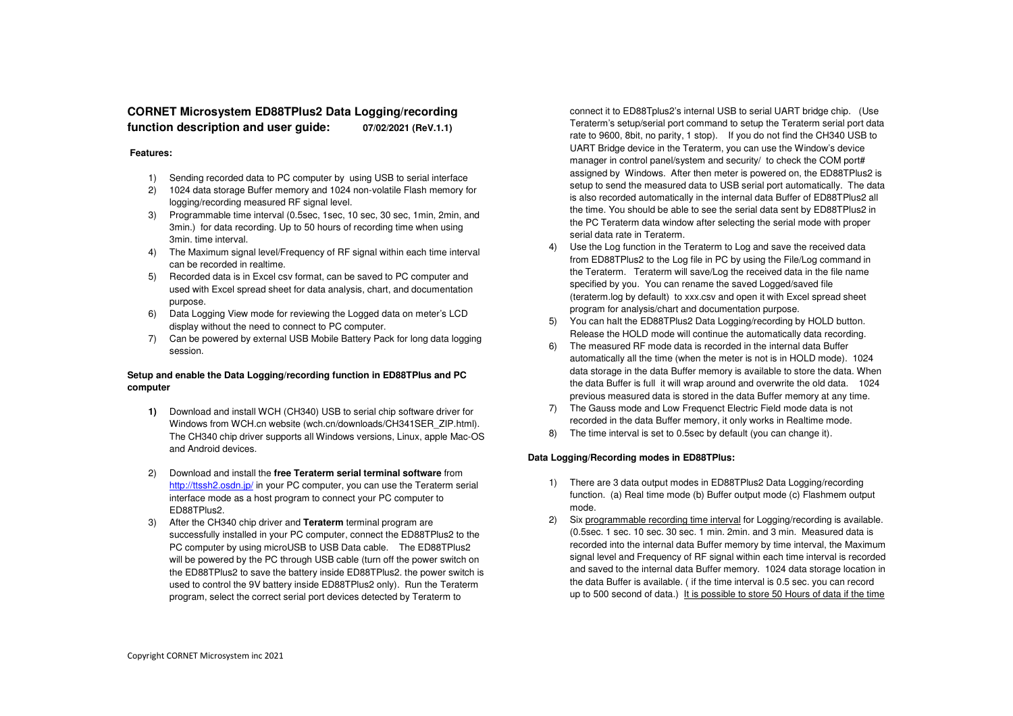# **CORNET Microsystem ED88TPlus2 Data Logging/recording function description and user guide: 07/02/2021 (ReV.1.1)**

### **Features:**

- 1) Sending recorded data to PC computer by using USB to serial interface
- 2) 1024 data storage Buffer memory and 1024 non-volatile Flash memory for logging/recording measured RF signal level.
- 3) Programmable time interval (0.5sec, 1sec, 10 sec, 30 sec, 1min, 2min, and 3min.) for data recording. Up to 50 hours of recording time when using 3min. time interval.
- 4) The Maximum signal level/Frequency of RF signal within each time interval can be recorded in realtime.
- 5) Recorded data is in Excel csv format, can be saved to PC computer and used with Excel spread sheet for data analysis, chart, and documentation purpose.
- 6) Data Logging View mode for reviewing the Logged data on meter's LCD display without the need to connect to PC computer.
- 7) Can be powered by external USB Mobile Battery Pack for long data logging session.

## **Setup and enable the Data Logging/recording function in ED88TPlus and PC computer**

- **1)** Download and install WCH (CH340) USB to serial chip software driver for Windows from WCH.cn website (wch.cn/downloads/CH341SER\_ZIP.html). The CH340 chip driver supports all Windows versions, Linux, apple Mac-OS and Android devices.
- 2) Download and install the **free Teraterm serial terminal software** from http://ttssh2.osdn.jp/ in your PC computer, you can use the Teraterm serial interface mode as a host program to connect your PC computer to ED88TPlus2.
- 3) After the CH340 chip driver and **Teraterm** terminal program are successfully installed in your PC computer, connect the ED88TPlus2 to the PC computer by using microUSB to USB Data cable. The ED88TPlus2 will be powered by the PC through USB cable (turn off the power switch on the ED88TPlus2 to save the battery inside ED88TPlus2. the power switch is used to control the 9V battery inside ED88TPlus2 only). Run the Teraterm program, select the correct serial port devices detected by Teraterm to

connect it to ED88Tplus2's internal USB to serial UART bridge chip. (Use Teraterm's setup/serial port command to setup the Teraterm serial port data rate to 9600, 8bit, no parity, 1 stop). If you do not find the CH340 USB to UART Bridge device in the Teraterm, you can use the Window's device manager in control panel/system and security/ to check the COM port# assigned by Windows. After then meter is powered on, the ED88TPlus2 is setup to send the measured data to USB serial port automatically. The data is also recorded automatically in the internal data Buffer of ED88TPlus2 all the time. You should be able to see the serial data sent by ED88TPlus2 in the PC Teraterm data window after selecting the serial mode with proper serial data rate in Teraterm.

- 4) Use the Log function in the Teraterm to Log and save the received data from ED88TPlus2 to the Log file in PC by using the File/Log command in the Teraterm. Teraterm will save/Log the received data in the file name specified by you. You can rename the saved Logged/saved file (teraterm.log by default) to xxx.csv and open it with Excel spread sheet program for analysis/chart and documentation purpose.
- 5) You can halt the ED88TPlus2 Data Logging/recording by HOLD button. Release the HOLD mode will continue the automatically data recording.
- 6) The measured RF mode data is recorded in the internal data Buffer automatically all the time (when the meter is not is in HOLD mode). 1024 data storage in the data Buffer memory is available to store the data. When the data Buffer is full it will wrap around and overwrite the old data. 1024 previous measured data is stored in the data Buffer memory at any time.
- 7) The Gauss mode and Low Frequenct Electric Field mode data is not recorded in the data Buffer memory, it only works in Realtime mode.
- 8) The time interval is set to 0.5sec by default (you can change it).

## **Data Logging/Recording modes in ED88TPlus:**

- 1) There are 3 data output modes in ED88TPlus2 Data Logging/recording function. (a) Real time mode (b) Buffer output mode (c) Flashmem output mode.
- 2) Six programmable recording time interval for Logging/recording is available. (0.5sec. 1 sec. 10 sec. 30 sec. 1 min. 2min. and 3 min. Measured data is recorded into the internal data Buffer memory by time interval, the Maximum signal level and Frequency of RF signal within each time interval is recorded and saved to the internal data Buffer memory. 1024 data storage location in the data Buffer is available. ( if the time interval is 0.5 sec. you can record up to 500 second of data.) It is possible to store 50 Hours of data if the time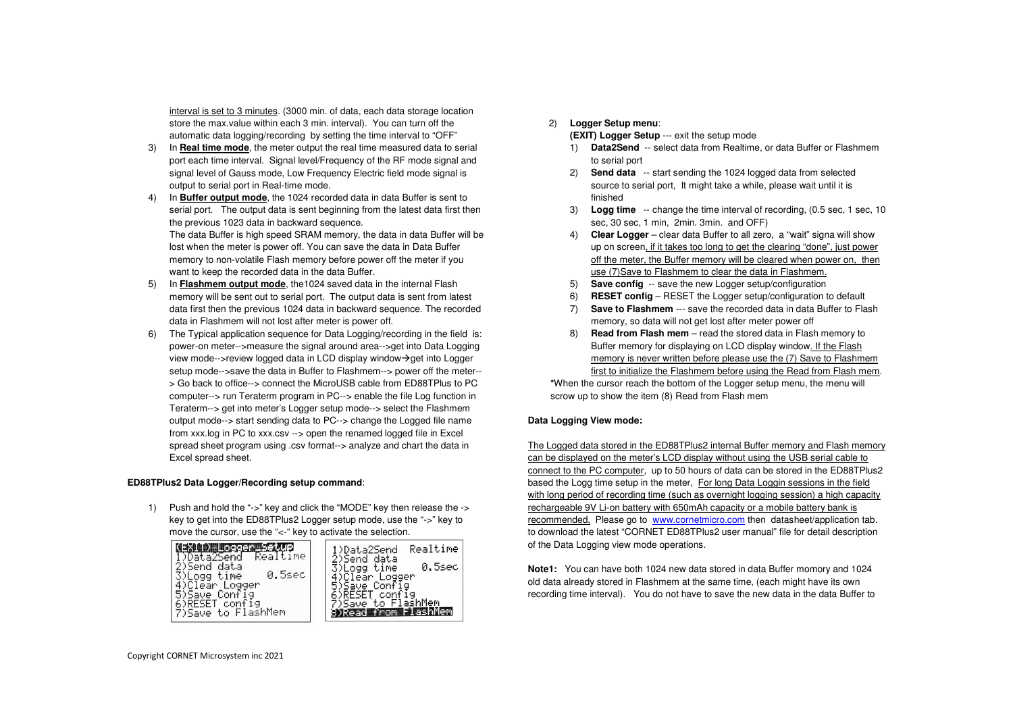interval is set to 3 minutes. (3000 min. of data, each data storage location store the max.value within each 3 min. interval). You can turn off the automatic data logging/recording by setting the time interval to "OFF"

- 3) In **Real time mode**, the meter output the real time measured data to serial port each time interval. Signal level/Frequency of the RF mode signal and signal level of Gauss mode, Low Frequency Electric field mode signal is output to serial port in Real-time mode.
- 4) In **Buffer output mode**, the 1024 recorded data in data Buffer is sent to serial port. The output data is sent beginning from the latest data first then the previous 1023 data in backward sequence. The data Buffer is high speed SRAM memory, the data in data Buffer will be lost when the meter is power off. You can save the data in Data Buffer memory to non-volatile Flash memory before power off the meter if you want to keep the recorded data in the data Buffer.
- 5) In **Flashmem output mode**, the1024 saved data in the internal Flash memory will be sent out to serial port. The output data is sent from latest data first then the previous 1024 data in backward sequence. The recorded data in Flashmem will not lost after meter is power off.
- 6) The Typical application sequence for Data Logging/recording in the field is: power-on meter-->measure the signal around area-->get into Data Logging view mode-- $>$ review logged data in LCD display window $\rightarrow$ get into Logger setup mode-->save the data in Buffer to Flashmem--> power off the meter-- > Go back to office--> connect the MicroUSB cable from ED88TPlus to PC computer--> run Teraterm program in PC--> enable the file Log function in Teraterm--> get into meter's Logger setup mode--> select the Flashmem output mode--> start sending data to PC--> change the Logged file name from xxx.log in PC to xxx.csv --> open the renamed logged file in Excel spread sheet program using .csv format--> analyze and chart the data in Excel spread sheet.

### **ED88TPlus2 Data Logger/Recording setup command**:

1) Push and hold the "->" key and click the "MODE" key then release the -> key to get into the ED88TPlus2 Logger setup mode, use the "->" key to move the cursor, use the "<-" key to activate the selection.



## 2) **Logger Setup menu**:

**(EXIT) Logger Setup** --- exit the setup mode

- 1) **Data2Send** -- select data from Realtime, or data Buffer or Flashmem to serial port
- 2) **Send data** -- start sending the 1024 logged data from selected source to serial port, It might take a while, please wait until it is finished
- 3) **Logg time** -- change the time interval of recording, (0.5 sec, 1 sec, 10 sec, 30 sec, 1 min. 2min. 3min. and OFF)
- 4) **Clear Logger** clear data Buffer to all zero, a "wait" signa will show up on screen, if it takes too long to get the clearing "done", just power off the meter, the Buffer memory will be cleared when power on, then use (7)Save to Flashmem to clear the data in Flashmem.
- 5) **Save config** -- save the new Logger setup/configuration
- 6) **RESET config** RESET the Logger setup/configuration to default
- 7) **Save to Flashmem** --- save the recorded data in data Buffer to Flashmemory, so data will not get lost after meter power off
- 8) **Read from Flash mem**  read the stored data in Flash memory to Buffer memory for displaying on LCD display window. If the Flash memory is never written before please use the (7) Save to Flashmem first to initialize the Flashmem before using the Read from Flash mem.

**\***When the cursor reach the bottom of the Logger setup menu, the menu will scrow up to show the item (8) Read from Flash mem

### **Data Logging View mode:**

The Logged data stored in the ED88TPlus2 internal Buffer memory and Flash memory can be displayed on the meter's LCD display without using the USB serial cable to connect to the PC computer, up to 50 hours of data can be stored in the ED88TPlus2 based the Logg time setup in the meter, For long Data Loggin sessions in the field with long period of recording time (such as overnight logging session) a high capacity rechargeable 9V Li-on battery with 650mAh capacity or a mobile battery bank is recommended. Please go to www.cornetmicro.com then datasheet/application tab. to download the latest "CORNET ED88TPlus2 user manual" file for detail description of the Data Logging view mode operations.

**Note1:** You can have both 1024 new data stored in data Buffer momory and 1024 old data already stored in Flashmem at the same time, (each might have its own recording time interval). You do not have to save the new data in the data Buffer to